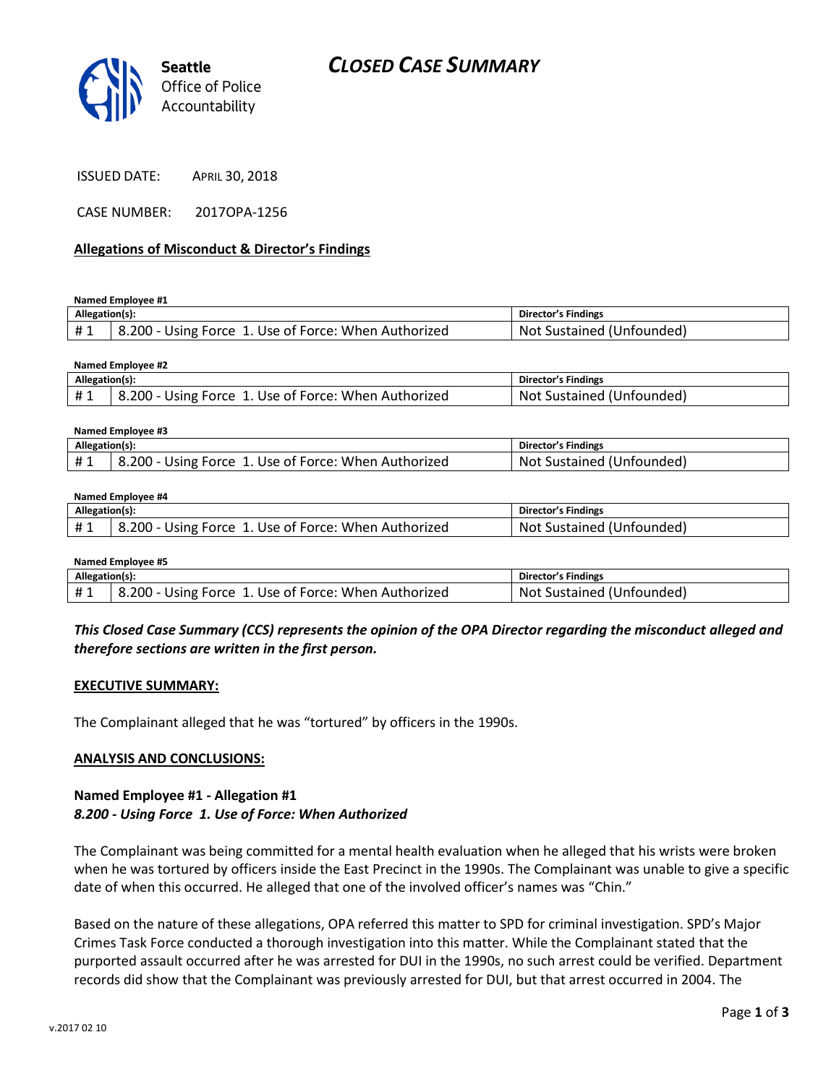

ISSUED DATE: APRIL 30, 2018

CASE NUMBER: 2017OPA-1256

### **Allegations of Misconduct & Director's Findings**

**Named Employee #1**

| Allegation(s): |                                                            | Director's Findings       |
|----------------|------------------------------------------------------------|---------------------------|
|                | .200 - Using Force 1. Use of Force: When Authorized<br>ے.8 | Not Sustained (Unfounded) |

#### **Named Employee #2**

| Allegation(s): |                                                      | <b>Director's Findings</b> |
|----------------|------------------------------------------------------|----------------------------|
| #1             | 8.200 - Using Force 1. Use of Force: When Authorized | Not Sustained (Unfounded)  |

| Named Employee #3 |                                                      |                            |  |
|-------------------|------------------------------------------------------|----------------------------|--|
| Allegation(s):    |                                                      | <b>Director's Findings</b> |  |
| #1                | 8.200 - Using Force 1. Use of Force: When Authorized | Not Sustained (Unfounded)  |  |

#### **Named Employee #4**

| Allegation(s): |                                                     | <b>Director's Findings</b>        |
|----------------|-----------------------------------------------------|-----------------------------------|
|                | .200 - Using Force 1. Use of Force: When Authorized | : Sustained (Unfounded).<br>Not ' |

| Named Employee #5 |                                                      |                           |  |
|-------------------|------------------------------------------------------|---------------------------|--|
| Allegation(s):    |                                                      | Director's Findings       |  |
| #1                | 8.200 - Using Force 1. Use of Force: When Authorized | Not Sustained (Unfounded) |  |

## *This Closed Case Summary (CCS) represents the opinion of the OPA Director regarding the misconduct alleged and therefore sections are written in the first person.*

#### **EXECUTIVE SUMMARY:**

The Complainant alleged that he was "tortured" by officers in the 1990s.

### **ANALYSIS AND CONCLUSIONS:**

### **Named Employee #1 - Allegation #1** *8.200 - Using Force 1. Use of Force: When Authorized*

The Complainant was being committed for a mental health evaluation when he alleged that his wrists were broken when he was tortured by officers inside the East Precinct in the 1990s. The Complainant was unable to give a specific date of when this occurred. He alleged that one of the involved officer's names was "Chin."

Based on the nature of these allegations, OPA referred this matter to SPD for criminal investigation. SPD's Major Crimes Task Force conducted a thorough investigation into this matter. While the Complainant stated that the purported assault occurred after he was arrested for DUI in the 1990s, no such arrest could be verified. Department records did show that the Complainant was previously arrested for DUI, but that arrest occurred in 2004. The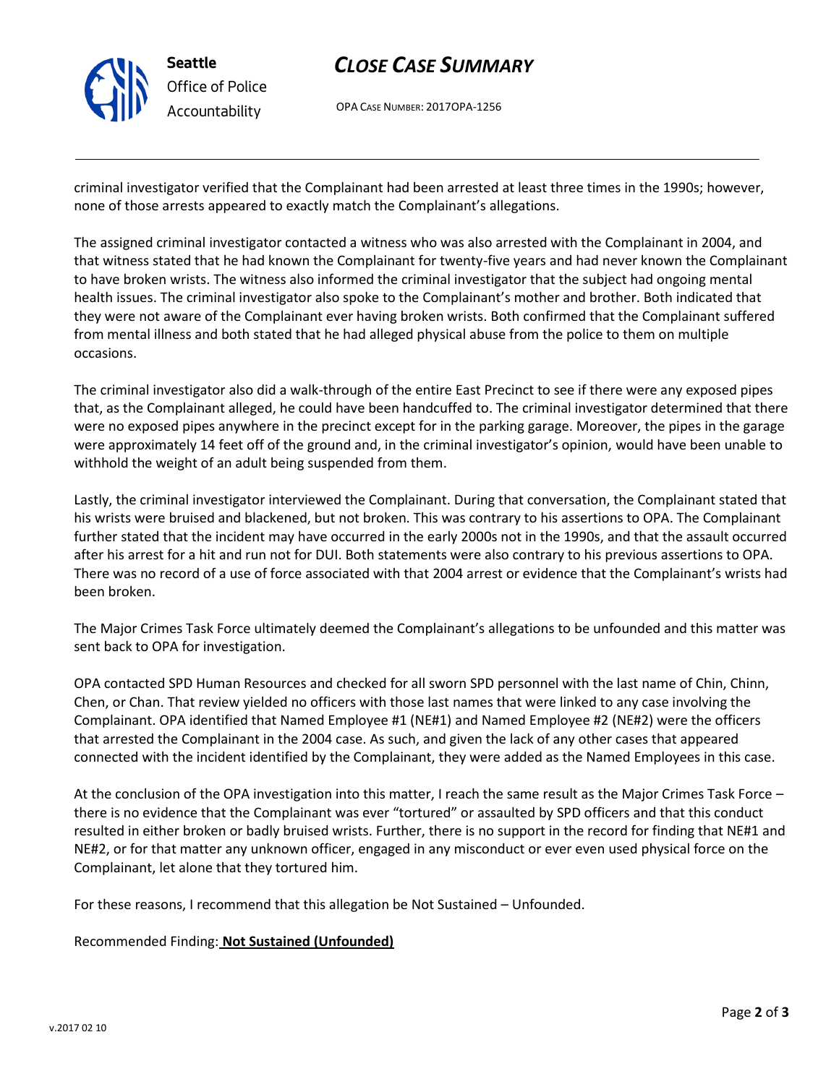

# *CLOSE CASE SUMMARY*

OPA CASE NUMBER: 2017OPA-1256

criminal investigator verified that the Complainant had been arrested at least three times in the 1990s; however, none of those arrests appeared to exactly match the Complainant's allegations.

The assigned criminal investigator contacted a witness who was also arrested with the Complainant in 2004, and that witness stated that he had known the Complainant for twenty-five years and had never known the Complainant to have broken wrists. The witness also informed the criminal investigator that the subject had ongoing mental health issues. The criminal investigator also spoke to the Complainant's mother and brother. Both indicated that they were not aware of the Complainant ever having broken wrists. Both confirmed that the Complainant suffered from mental illness and both stated that he had alleged physical abuse from the police to them on multiple occasions.

The criminal investigator also did a walk-through of the entire East Precinct to see if there were any exposed pipes that, as the Complainant alleged, he could have been handcuffed to. The criminal investigator determined that there were no exposed pipes anywhere in the precinct except for in the parking garage. Moreover, the pipes in the garage were approximately 14 feet off of the ground and, in the criminal investigator's opinion, would have been unable to withhold the weight of an adult being suspended from them.

Lastly, the criminal investigator interviewed the Complainant. During that conversation, the Complainant stated that his wrists were bruised and blackened, but not broken. This was contrary to his assertions to OPA. The Complainant further stated that the incident may have occurred in the early 2000s not in the 1990s, and that the assault occurred after his arrest for a hit and run not for DUI. Both statements were also contrary to his previous assertions to OPA. There was no record of a use of force associated with that 2004 arrest or evidence that the Complainant's wrists had been broken.

The Major Crimes Task Force ultimately deemed the Complainant's allegations to be unfounded and this matter was sent back to OPA for investigation.

OPA contacted SPD Human Resources and checked for all sworn SPD personnel with the last name of Chin, Chinn, Chen, or Chan. That review yielded no officers with those last names that were linked to any case involving the Complainant. OPA identified that Named Employee #1 (NE#1) and Named Employee #2 (NE#2) were the officers that arrested the Complainant in the 2004 case. As such, and given the lack of any other cases that appeared connected with the incident identified by the Complainant, they were added as the Named Employees in this case.

At the conclusion of the OPA investigation into this matter, I reach the same result as the Major Crimes Task Force – there is no evidence that the Complainant was ever "tortured" or assaulted by SPD officers and that this conduct resulted in either broken or badly bruised wrists. Further, there is no support in the record for finding that NE#1 and NE#2, or for that matter any unknown officer, engaged in any misconduct or ever even used physical force on the Complainant, let alone that they tortured him.

For these reasons, I recommend that this allegation be Not Sustained – Unfounded.

Recommended Finding: **Not Sustained (Unfounded)**